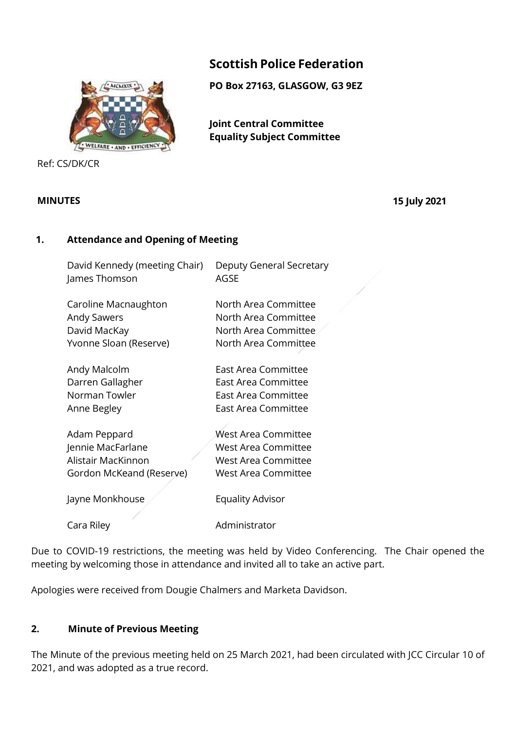# **Scottish Police Federation**

**PO Box 27163, GLASGOW, G3 9EZ** 

**Joint Central Committee Equality Subject Committee**

Ref: CS/DK/CR

**MINUTES 15 July 2021**

### **1. Attendance and Opening of Meeting**

| David Kennedy (meeting Chair) | Deputy General Secretary   |
|-------------------------------|----------------------------|
| James Thomson                 | AGSE                       |
| Caroline Macnaughton          | North Area Committee       |
| <b>Andy Sawers</b>            | North Area Committee       |
| David MacKay                  | North Area Committee       |
| Yvonne Sloan (Reserve)        | North Area Committee       |
| Andy Malcolm                  | East Area Committee        |
| Darren Gallagher              | East Area Committee        |
| Norman Towler                 | East Area Committee        |
| Anne Begley                   | East Area Committee        |
| Adam Peppard                  | West Area Committee        |
| Jennie MacFarlane             | <b>West Area Committee</b> |
| Alistair MacKinnon            | <b>West Area Committee</b> |
| Gordon McKeand (Reserve)      | West Area Committee        |
| Jayne Monkhouse               | Equality Advisor           |
| Cara Riley                    | Administrator              |

Due to COVID-19 restrictions, the meeting was held by Video Conferencing. The Chair opened the meeting by welcoming those in attendance and invited all to take an active part.

Apologies were received from Dougie Chalmers and Marketa Davidson.

## **2. Minute of Previous Meeting**

The Minute of the previous meeting held on 25 March 2021, had been circulated with JCC Circular 10 of 2021, and was adopted as a true record.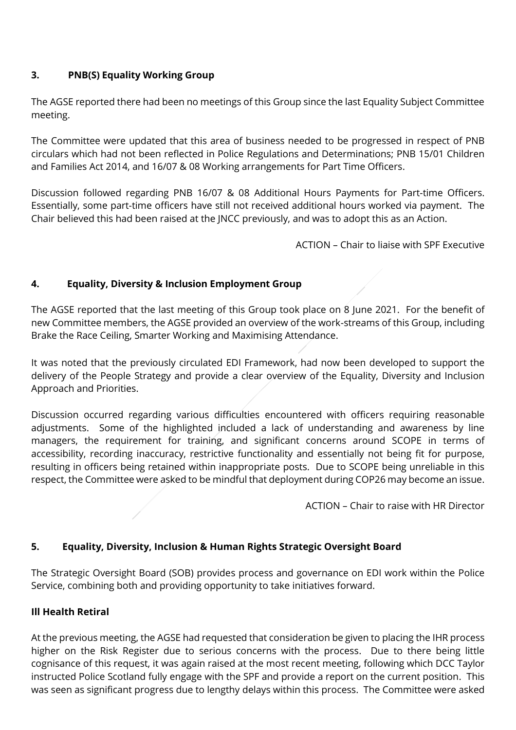## **3. PNB(S) Equality Working Group**

The AGSE reported there had been no meetings of this Group since the last Equality Subject Committee meeting.

The Committee were updated that this area of business needed to be progressed in respect of PNB circulars which had not been reflected in Police Regulations and Determinations; PNB 15/01 Children and Families Act 2014, and 16/07 & 08 Working arrangements for Part Time Officers.

Discussion followed regarding PNB 16/07 & 08 Additional Hours Payments for Part-time Officers. Essentially, some part-time officers have still not received additional hours worked via payment. The Chair believed this had been raised at the JNCC previously, and was to adopt this as an Action.

ACTION – Chair to liaise with SPF Executive

## **4. Equality, Diversity & Inclusion Employment Group**

The AGSE reported that the last meeting of this Group took place on 8 June 2021. For the benefit of new Committee members, the AGSE provided an overview of the work-streams of this Group, including Brake the Race Ceiling, Smarter Working and Maximising Attendance.

It was noted that the previously circulated EDI Framework, had now been developed to support the delivery of the People Strategy and provide a clear overview of the Equality, Diversity and Inclusion Approach and Priorities.

Discussion occurred regarding various difficulties encountered with officers requiring reasonable adjustments. Some of the highlighted included a lack of understanding and awareness by line managers, the requirement for training, and significant concerns around SCOPE in terms of accessibility, recording inaccuracy, restrictive functionality and essentially not being fit for purpose, resulting in officers being retained within inappropriate posts. Due to SCOPE being unreliable in this respect, the Committee were asked to be mindful that deployment during COP26 may become an issue.

ACTION – Chair to raise with HR Director

## **5. Equality, Diversity, Inclusion & Human Rights Strategic Oversight Board**

The Strategic Oversight Board (SOB) provides process and governance on EDI work within the Police Service, combining both and providing opportunity to take initiatives forward.

## **Ill Health Retiral**

At the previous meeting, the AGSE had requested that consideration be given to placing the IHR process higher on the Risk Register due to serious concerns with the process. Due to there being little cognisance of this request, it was again raised at the most recent meeting, following which DCC Taylor instructed Police Scotland fully engage with the SPF and provide a report on the current position. This was seen as significant progress due to lengthy delays within this process. The Committee were asked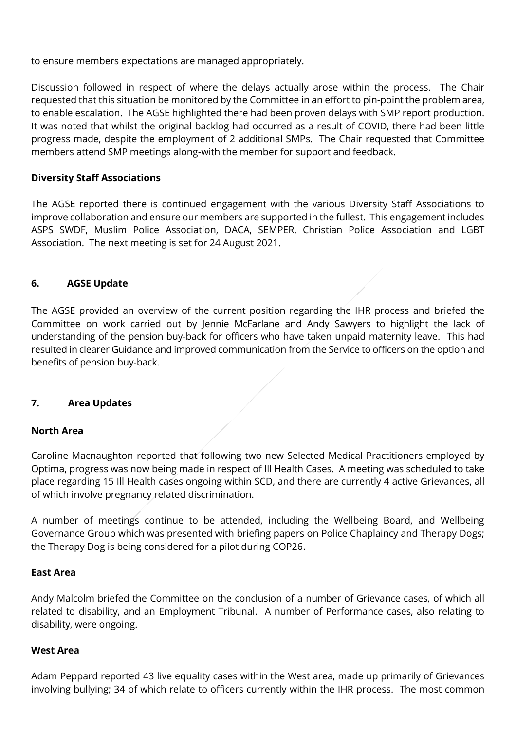to ensure members expectations are managed appropriately.

Discussion followed in respect of where the delays actually arose within the process. The Chair requested that this situation be monitored by the Committee in an effort to pin-point the problem area, to enable escalation. The AGSE highlighted there had been proven delays with SMP report production. It was noted that whilst the original backlog had occurred as a result of COVID, there had been little progress made, despite the employment of 2 additional SMPs. The Chair requested that Committee members attend SMP meetings along-with the member for support and feedback.

### **Diversity Staff Associations**

The AGSE reported there is continued engagement with the various Diversity Staff Associations to improve collaboration and ensure our members are supported in the fullest. This engagement includes ASPS SWDF, Muslim Police Association, DACA, SEMPER, Christian Police Association and LGBT Association. The next meeting is set for 24 August 2021.

### **6. AGSE Update**

The AGSE provided an overview of the current position regarding the IHR process and briefed the Committee on work carried out by Jennie McFarlane and Andy Sawyers to highlight the lack of understanding of the pension buy-back for officers who have taken unpaid maternity leave. This had resulted in clearer Guidance and improved communication from the Service to officers on the option and benefits of pension buy-back.

#### **7. Area Updates**

#### **North Area**

Caroline Macnaughton reported that following two new Selected Medical Practitioners employed by Optima, progress was now being made in respect of Ill Health Cases. A meeting was scheduled to take place regarding 15 Ill Health cases ongoing within SCD, and there are currently 4 active Grievances, all of which involve pregnancy related discrimination.

A number of meetings continue to be attended, including the Wellbeing Board, and Wellbeing Governance Group which was presented with briefing papers on Police Chaplaincy and Therapy Dogs; the Therapy Dog is being considered for a pilot during COP26.

#### **East Area**

Andy Malcolm briefed the Committee on the conclusion of a number of Grievance cases, of which all related to disability, and an Employment Tribunal. A number of Performance cases, also relating to disability, were ongoing.

#### **West Area**

Adam Peppard reported 43 live equality cases within the West area, made up primarily of Grievances involving bullying; 34 of which relate to officers currently within the IHR process. The most common